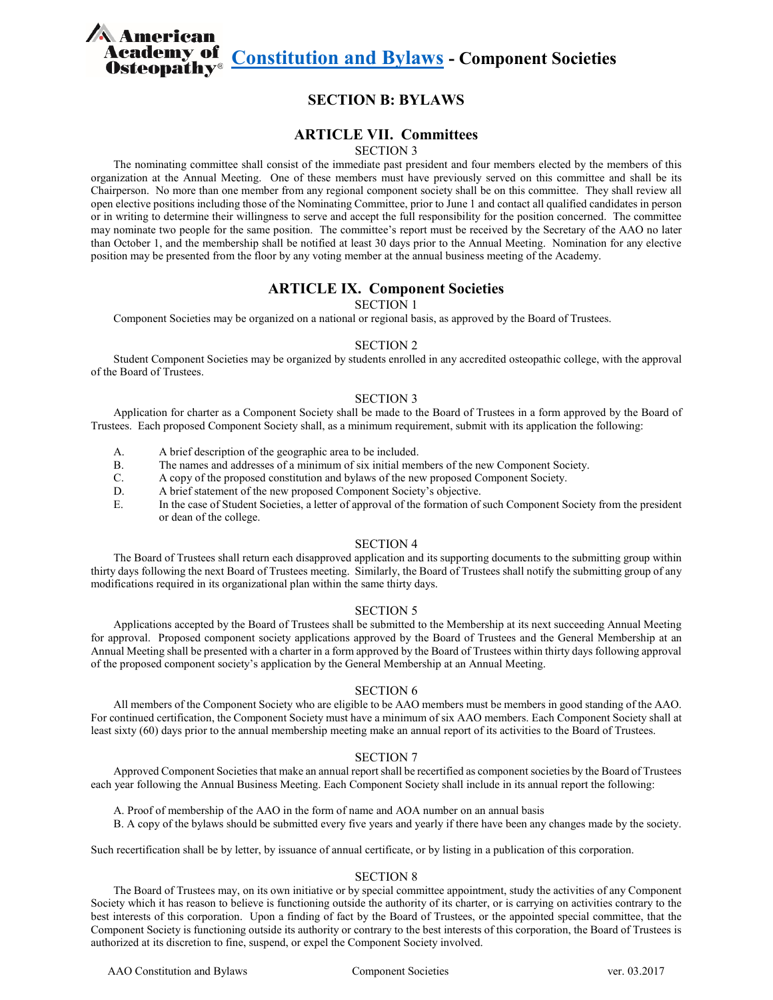**comparison of <u>[Constitution and Bylaws](http://files.academyofosteopathy.org/files/AAO_ConstitutionBylaws.pdf)</u> - Component Societies**<br>**eopathy®** 

# **SECTION B: BYLAWS**

## **ARTICLE VII. Committees**

SECTION 3

The nominating committee shall consist of the immediate past president and four members elected by the members of this organization at the Annual Meeting. One of these members must have previously served on this committee and shall be its Chairperson. No more than one member from any regional component society shall be on this committee. They shall review all open elective positions including those of the Nominating Committee, prior to June 1 and contact all qualified candidates in person or in writing to determine their willingness to serve and accept the full responsibility for the position concerned. The committee may nominate two people for the same position. The committee's report must be received by the Secretary of the AAO no later than October 1, and the membership shall be notified at least 30 days prior to the Annual Meeting. Nomination for any elective position may be presented from the floor by any voting member at the annual business meeting of the Academy.

## **ARTICLE IX. Component Societies**

SECTION 1

Component Societies may be organized on a national or regional basis, as approved by the Board of Trustees.

### SECTION 2

Student Component Societies may be organized by students enrolled in any accredited osteopathic college, with the approval of the Board of Trustees.

### SECTION 3

Application for charter as a Component Society shall be made to the Board of Trustees in a form approved by the Board of Trustees. Each proposed Component Society shall, as a minimum requirement, submit with its application the following:

A. A brief description of the geographic area to be included.

**A** American

- B. The names and addresses of a minimum of six initial members of the new Component Society.
- C. A copy of the proposed constitution and bylaws of the new proposed Component Society.
- D. A brief statement of the new proposed Component Society's objective.
- E. In the case of Student Societies, a letter of approval of the formation of such Component Society from the president or dean of the college.

## SECTION 4

The Board of Trustees shall return each disapproved application and its supporting documents to the submitting group within thirty days following the next Board of Trustees meeting. Similarly, the Board of Trustees shall notify the submitting group of any modifications required in its organizational plan within the same thirty days.

#### SECTION 5

Applications accepted by the Board of Trustees shall be submitted to the Membership at its next succeeding Annual Meeting for approval. Proposed component society applications approved by the Board of Trustees and the General Membership at an Annual Meeting shall be presented with a charter in a form approved by the Board of Trustees within thirty days following approval of the proposed component society's application by the General Membership at an Annual Meeting.

### SECTION 6

All members of the Component Society who are eligible to be AAO members must be members in good standing of the AAO. For continued certification, the Component Society must have a minimum of six AAO members. Each Component Society shall at least sixty (60) days prior to the annual membership meeting make an annual report of its activities to the Board of Trustees.

## SECTION 7

Approved Component Societies that make an annual report shall be recertified as component societies by the Board of Trustees each year following the Annual Business Meeting. Each Component Society shall include in its annual report the following:

- A. Proof of membership of the AAO in the form of name and AOA number on an annual basis
- B. A copy of the bylaws should be submitted every five years and yearly if there have been any changes made by the society.

Such recertification shall be by letter, by issuance of annual certificate, or by listing in a publication of this corporation.

### SECTION 8

The Board of Trustees may, on its own initiative or by special committee appointment, study the activities of any Component Society which it has reason to believe is functioning outside the authority of its charter, or is carrying on activities contrary to the best interests of this corporation. Upon a finding of fact by the Board of Trustees, or the appointed special committee, that the Component Society is functioning outside its authority or contrary to the best interests of this corporation, the Board of Trustees is authorized at its discretion to fine, suspend, or expel the Component Society involved.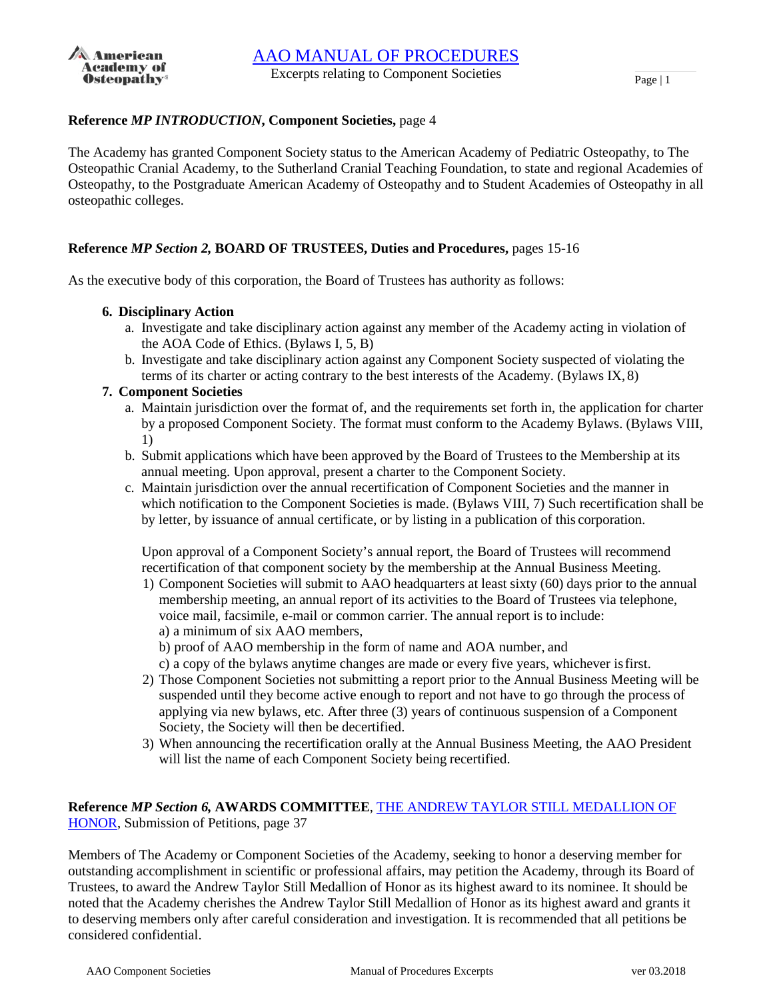

## **Reference** *MP INTRODUCTION***, Component Societies,** page 4

The Academy has granted Component Society status to the American Academy of Pediatric Osteopathy, to The Osteopathic Cranial Academy, to the Sutherland Cranial Teaching Foundation, to state and regional Academies of Osteopathy, to the Postgraduate American Academy of Osteopathy and to Student Academies of Osteopathy in all osteopathic colleges.

## **Reference** *MP Section 2,* **BOARD OF TRUSTEES, Duties and Procedures,** pages 15-16

As the executive body of this corporation, the Board of Trustees has authority as follows:

- **6. Disciplinary Action**
	- a. Investigate and take disciplinary action against any member of the Academy acting in violation of the AOA Code of Ethics. (Bylaws I, 5, B)
	- b. Investigate and take disciplinary action against any Component Society suspected of violating the terms of its charter or acting contrary to the best interests of the Academy. (Bylaws IX, 8)
- **7. Component Societies**
	- a. Maintain jurisdiction over the format of, and the requirements set forth in, the application for charter by a proposed Component Society. The format must conform to the Academy Bylaws. (Bylaws VIII, 1)
	- b. Submit applications which have been approved by the Board of Trustees to the Membership at its annual meeting. Upon approval, present a charter to the Component Society.
	- c. Maintain jurisdiction over the annual recertification of Component Societies and the manner in which notification to the Component Societies is made. (Bylaws VIII, 7) Such recertification shall be by letter, by issuance of annual certificate, or by listing in a publication of this corporation.

Upon approval of a Component Society's annual report, the Board of Trustees will recommend recertification of that component society by the membership at the Annual Business Meeting.

- 1) Component Societies will submit to AAO headquarters at least sixty (60) days prior to the annual membership meeting, an annual report of its activities to the Board of Trustees via telephone, voice mail, facsimile, e-mail or common carrier. The annual report is to include: a) a minimum of six AAO members,
	- b) proof of AAO membership in the form of name and AOA number, and
	- c) a copy of the bylaws anytime changes are made or every five years, whichever isfirst.
- 2) Those Component Societies not submitting a report prior to the Annual Business Meeting will be suspended until they become active enough to report and not have to go through the process of applying via new bylaws, etc. After three (3) years of continuous suspension of a Component Society, the Society will then be decertified.
- 3) When announcing the recertification orally at the Annual Business Meeting, the AAO President will list the name of each Component Society being recertified.

## **Reference** *MP Section 6,* **AWARDS COMMITTEE**, [THE ANDREW TAYLOR STILL MEDALLION OF](https://www.academyofosteopathy.org/andrew-taylor-still-medallion-of-honor) [HONOR,](https://www.academyofosteopathy.org/andrew-taylor-still-medallion-of-honor) Submission of Petitions, page 37

Members of The Academy or Component Societies of the Academy, seeking to honor a deserving member for outstanding accomplishment in scientific or professional affairs, may petition the Academy, through its Board of Trustees, to award the Andrew Taylor Still Medallion of Honor as its highest award to its nominee. It should be noted that the Academy cherishes the Andrew Taylor Still Medallion of Honor as its highest award and grants it to deserving members only after careful consideration and investigation. It is recommended that all petitions be considered confidential.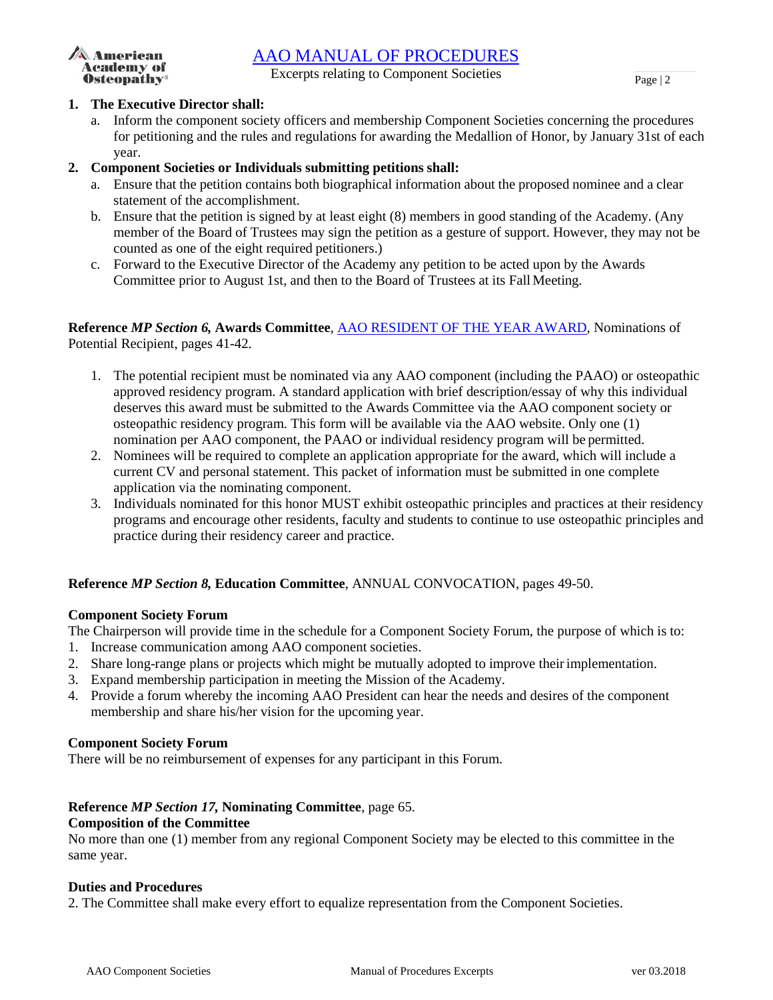# [AAO MANUAL OF PROCEDURES](http://files.academyofosteopathy.org/files/AAO_ManualOfProcedures.pdf)



Excerpts relating to Component Societies  $\frac{P_{\text{age}}}{2}$ 

## **1. The Executive Director shall:**

a. Inform the component society officers and membership Component Societies concerning the procedures for petitioning and the rules and regulations for awarding the Medallion of Honor, by January 31st of each year.

## **2. Component Societies or Individuals submitting petitions shall:**

- a. Ensure that the petition contains both biographical information about the proposed nominee and a clear statement of the accomplishment.
- b. Ensure that the petition is signed by at least eight (8) members in good standing of the Academy. (Any member of the Board of Trustees may sign the petition as a gesture of support. However, they may not be counted as one of the eight required petitioners.)
- c. Forward to the Executive Director of the Academy any petition to be acted upon by the Awards Committee prior to August 1st, and then to the Board of Trustees at its Fall Meeting.

## **Reference** *MP Section 6,* **Awards Committee**, [AAO RESIDENT OF THE YEAR AWARD,](https://www.academyofosteopathy.org/resident-of-the-year) Nominations of Potential Recipient, pages 41-42.

- 1. The potential recipient must be nominated via any AAO component (including the PAAO) or osteopathic approved residency program. A standard application with brief description/essay of why this individual deserves this award must be submitted to the Awards Committee via the AAO component society or osteopathic residency program. This form will be available via the AAO website. Only one (1) nomination per AAO component, the PAAO or individual residency program will be permitted.
- 2. Nominees will be required to complete an application appropriate for the award, which will include a current CV and personal statement. This packet of information must be submitted in one complete application via the nominating component.
- 3. Individuals nominated for this honor MUST exhibit osteopathic principles and practices at their residency programs and encourage other residents, faculty and students to continue to use osteopathic principles and practice during their residency career and practice.

# **Reference** *MP Section 8,* **Education Committee**, ANNUAL CONVOCATION, pages 49-50.

## **Component Society Forum**

The Chairperson will provide time in the schedule for a Component Society Forum, the purpose of which is to:

- 1. Increase communication among AAO component societies.
- 2. Share long-range plans or projects which might be mutually adopted to improve theirimplementation.
- 3. Expand membership participation in meeting the Mission of the Academy.
- 4. Provide a forum whereby the incoming AAO President can hear the needs and desires of the component membership and share his/her vision for the upcoming year.

## **Component Society Forum**

There will be no reimbursement of expenses for any participant in this Forum.

## **Reference** *MP Section 17,* **Nominating Committee**, page 65.

## **Composition of the Committee**

No more than one (1) member from any regional Component Society may be elected to this committee in the same year.

## **Duties and Procedures**

2. The Committee shall make every effort to equalize representation from the Component Societies.